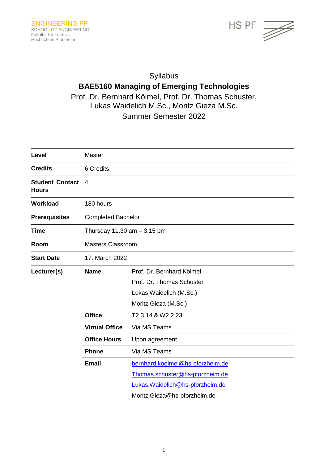

## Syllabus

# **BAE5160 Managing of Emerging Technologies**

Prof. Dr. Bernhard Kölmel, Prof. Dr. Thomas Schuster, Lukas Waidelich M.Sc., Moritz Gieza M.Sc.

Summer Semester 2022

| Level                                  | Master                         |                                  |
|----------------------------------------|--------------------------------|----------------------------------|
| <b>Credits</b>                         | 6 Credits,                     |                                  |
| <b>Student Contact</b><br><b>Hours</b> | 4                              |                                  |
| <b>Workload</b>                        | 180 hours                      |                                  |
| <b>Prerequisites</b>                   | <b>Completed Bachelor</b>      |                                  |
| <b>Time</b>                            | Thursday $11.30$ am $-3.15$ pm |                                  |
| Room                                   | <b>Masters Classroom</b>       |                                  |
| <b>Start Date</b>                      | 17. March 2022                 |                                  |
| Lecturer(s)                            | <b>Name</b>                    | Prof. Dr. Bernhard Kölmel        |
|                                        |                                | Prof. Dr. Thomas Schuster        |
|                                        |                                | Lukas Waidelich (M.Sc.)          |
|                                        |                                | Moritz Gieza (M.Sc.)             |
|                                        | <b>Office</b>                  | T2.3.14 & W2.2.23                |
|                                        | <b>Virtual Office</b>          | Via MS Teams                     |
|                                        | <b>Office Hours</b>            | Upon agreement                   |
|                                        | <b>Phone</b>                   | Via MS Teams                     |
|                                        | <b>Email</b>                   | bernhard.koelmel@hs-pforzheim.de |
|                                        |                                | Thomas.schuster@hs-pforzheim.de  |
|                                        |                                | Lukas. Waidelich@hs-pforzheim.de |
|                                        |                                | Moritz.Gieza@hs-pforzheim.de     |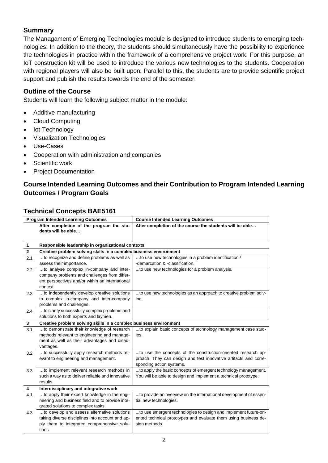#### **Summary**

The Managament of Emerging Technologies module is designed to introduce students to emerging technologies. In addition to the theory, the students should simultaneously have the possibility to experience the technologies in practice within the framework of a comprehensive project work. For this purpose, an IoT construction kit will be used to introduce the various new technologies to the students. Cooperation with regional players will also be built upon. Parallel to this, the students are to provide scientific project support and publish the results towards the end of the semester.

#### **Outline of the Course**

Students will learn the following subject matter in the module:

- Additive manufacturing
- Cloud Computing
- Iot-Technology
- Visualization Technologies
- Use-Cases
- Cooperation with administration and companies
- Scientific work
- Project Documentation

## **Course Intended Learning Outcomes and their Contribution to Program Intended Learning Outcomes / Program Goals**

#### **Technical Concepts BAE5161**

| <b>Program Intended Learning Outcomes</b> |                                                                                                                                                         | <b>Course Intended Learning Outcomes</b>                                                                                                                      |  |
|-------------------------------------------|---------------------------------------------------------------------------------------------------------------------------------------------------------|---------------------------------------------------------------------------------------------------------------------------------------------------------------|--|
|                                           | After completion of the program the stu-<br>dents will be able                                                                                          | After completion of the course the students will be able                                                                                                      |  |
| 1                                         | Responsible leadership in organizational contexts                                                                                                       |                                                                                                                                                               |  |
| $\mathbf{2}$                              | Creative problem solving skills in a complex business environment                                                                                       |                                                                                                                                                               |  |
| 2.1                                       | to recognize and define problems as well as                                                                                                             | to use new technologies in a problem identification /                                                                                                         |  |
|                                           | assess their importance.                                                                                                                                | -demarcation & -classification.                                                                                                                               |  |
| 2.2                                       | to analyse complex in-company and inter-<br>company problems and challenges from differ-<br>ent perspectives and/or within an international<br>context. | to use new technologies for a problem analysis.                                                                                                               |  |
| 2.3                                       | to independently develop creative solutions<br>to complex in-company and inter-company<br>problems and challenges.                                      | to use new technologies as an approach to creative problem solv-<br>ing.                                                                                      |  |
| 2.4                                       | to clarify successfully complex problems and<br>solutions to both experts and laymen.                                                                   |                                                                                                                                                               |  |
| 3                                         | Creative problem solving skills in a complex business environment                                                                                       |                                                                                                                                                               |  |
| 3.1                                       | to demonstrate their knowledge of research<br>methods relevant to engineering and manage-<br>ment as well as their advantages and disad-<br>vantages.   | to explain basic concepts of technology management case stud-<br>ies.                                                                                         |  |
| 3.2                                       | to successfully apply research methods rel-<br>evant to engineering and management.                                                                     | to use the concepts of the construction-oriented research ap-<br>proach. They can design and test innovative artifacts and corre-<br>sponding action systems. |  |
| 3.3                                       | to implement relevant research methods in<br>such a way as to deliver reliable and innovative<br>results.                                               | to apply the basic concepts of emergent technology management.<br>You will be able to design and implement a technical prototype.                             |  |
| 4                                         | Interdisciplinary and integrative work                                                                                                                  |                                                                                                                                                               |  |
| 4.1                                       | to apply their expert knowledge in the engi-<br>neering and business field and to provide inte-<br>grated solutions to complex tasks.                   | to provide an overview on the international development of essen-<br>tial new technologies.                                                                   |  |
| 4.3                                       | to develop and assess alternative solutions<br>taking diverse disciplines into account and ap-<br>ply them to integrated comprehensive solu-<br>tions.  | to use emergent technologies to design and implement future-ori-<br>ented technical prototypes and evaluate them using business de-<br>sign methods.          |  |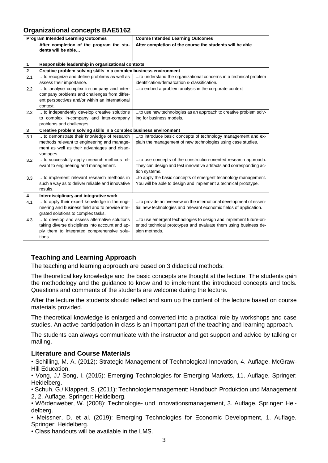## **Organizational concepts BAE5162**

| <b>Program Intended Learning Outcomes</b> |                                                                                        | <b>Course Intended Learning Outcomes</b>                            |  |  |  |
|-------------------------------------------|----------------------------------------------------------------------------------------|---------------------------------------------------------------------|--|--|--|
|                                           | After completion of the program the stu-<br>dents will be able                         | After completion of the course the students will be able            |  |  |  |
| $\mathbf{1}$                              | Responsible leadership in organizational contexts                                      |                                                                     |  |  |  |
| $\bf 2$                                   | Creative problem solving skills in a complex business environment                      |                                                                     |  |  |  |
| 2.1                                       | to recognize and define problems as well as                                            | to understand the organizational concerns in a technical problem    |  |  |  |
|                                           | assess their importance.                                                               | identification/demarcation & classification.                        |  |  |  |
| 2.2                                       | to analyse complex in-company and inter-                                               | to embed a problem analysis in the corporate context                |  |  |  |
|                                           | company problems and challenges from differ-                                           |                                                                     |  |  |  |
|                                           | ent perspectives and/or within an international                                        |                                                                     |  |  |  |
|                                           | context.                                                                               |                                                                     |  |  |  |
| 2.3                                       | to independently develop creative solutions                                            | to use new technologies as an approach to creative problem solv-    |  |  |  |
|                                           | to complex in-company and inter-company                                                | ing for business models.                                            |  |  |  |
|                                           | problems and challenges.                                                               |                                                                     |  |  |  |
| 3                                         | Creative problem solving skills in a complex business environment                      |                                                                     |  |  |  |
| 3.1                                       | to demonstrate their knowledge of research                                             | to introduce basic concepts of technology management and ex-        |  |  |  |
|                                           | methods relevant to engineering and manage-                                            | plain the management of new technologies using case studies.        |  |  |  |
|                                           | ment as well as their advantages and disad-                                            |                                                                     |  |  |  |
|                                           | vantages.                                                                              |                                                                     |  |  |  |
| 3.2                                       | to successfully apply research methods rel-                                            | to use concepts of the construction-oriented research approach.     |  |  |  |
|                                           | evant to engineering and management.                                                   | They can design and test innovative artifacts and corresponding ac- |  |  |  |
|                                           |                                                                                        | tion systems.                                                       |  |  |  |
| 3.3                                       | to implement relevant research methods in                                              | to apply the basic concepts of emergent technology management.      |  |  |  |
|                                           | such a way as to deliver reliable and innovative<br>results.                           | You will be able to design and implement a technical prototype.     |  |  |  |
|                                           |                                                                                        |                                                                     |  |  |  |
| 4                                         | Interdisciplinary and integrative work<br>to apply their expert knowledge in the engi- | to provide an overview on the international development of essen-   |  |  |  |
| 4.1                                       | neering and business field and to provide inte-                                        | tial new technologies and relevant economic fields of application.  |  |  |  |
|                                           | grated solutions to complex tasks.                                                     |                                                                     |  |  |  |
| 4.3                                       | to develop and assess alternative solutions                                            | to use emergent technologies to design and implement future-ori-    |  |  |  |
|                                           | taking diverse disciplines into account and ap-                                        | ented technical prototypes and evaluate them using business de-     |  |  |  |
|                                           | ply them to integrated comprehensive solu-                                             | sign methods.                                                       |  |  |  |
|                                           | tions.                                                                                 |                                                                     |  |  |  |
|                                           |                                                                                        |                                                                     |  |  |  |

## **Teaching and Learning Approach**

The teaching and learning approach are based on 3 didactical methods:

The theoretical key knowledge and the basic concepts are thought at the lecture. The students gain the methodology and the guidance to know and to implement the introduced concepts and tools. Questions and comments of the students are welcome during the lecture.

After the lecture the students should reflect and sum up the content of the lecture based on course materials provided.

The theoretical knowledge is enlarged and converted into a practical role by workshops and case studies. An active participation in class is an important part of the teaching and learning approach.

The students can always communicate with the instructor and get support and advice by talking or mailing.

#### **Literature and Course Materials**

• Schilling, M. A. (2012): Strategic Management of Technological Innovation, 4. Auflage. McGraw-Hill Education.

• Vong, J./ Song, I. (2015): Emerging Technologies for Emerging Markets, 11. Auflage. Springer: Heidelberg.

• Schuh, G./ Klappert, S. (2011): Technologiemanagement: Handbuch Produktion und Management 2, 2. Auflage. Springer: Heidelberg.

• Wördenweber, W. (2008): Technologie- und Innovationsmanagement, 3. Auflage. Springer: Heidelberg.

• Meissner, D. et al. (2019): Emerging Technologies for Economic Development, 1. Auflage. Springer: Heidelberg.

• Class handouts will be available in the LMS.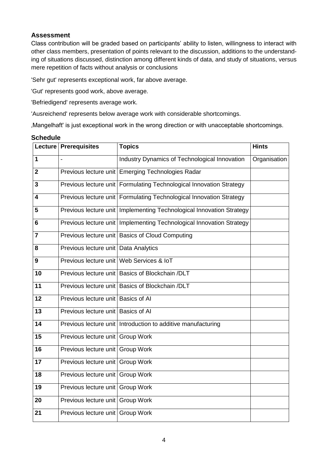#### **Assessment**

Class contribution will be graded based on participants' ability to listen, willingness to interact with other class members, presentation of points relevant to the discussion, additions to the understanding of situations discussed, distinction among different kinds of data, and study of situations, versus mere repetition of facts without analysis or conclusions

'Sehr gut' represents exceptional work, far above average.

'Gut' represents good work, above average.

'Befriedigend' represents average work.

'Ausreichend' represents below average work with considerable shortcomings.

'Mangelhaft' is just exceptional work in the wrong direction or with unacceptable shortcomings.

|                         | Lecture   Prerequisites                    | <b>Topics</b>                                                          | <b>Hints</b> |
|-------------------------|--------------------------------------------|------------------------------------------------------------------------|--------------|
| 1                       |                                            | Industry Dynamics of Technological Innovation                          | Organisation |
| $\overline{2}$          |                                            | Previous lecture unit Emerging Technologies Radar                      |              |
| 3                       |                                            | Previous lecture unit   Formulating Technological Innovation Strategy  |              |
| $\overline{\mathbf{4}}$ |                                            | Previous lecture unit Formulating Technological Innovation Strategy    |              |
| 5                       |                                            | Previous lecture unit   Implementing Technological Innovation Strategy |              |
| 6                       |                                            | Previous lecture unit   Implementing Technological Innovation Strategy |              |
| $\overline{7}$          |                                            | Previous lecture unit   Basics of Cloud Computing                      |              |
| 8                       | Previous lecture unit   Data Analytics     |                                                                        |              |
| 9                       | Previous lecture unit   Web Services & IoT |                                                                        |              |
| 10                      |                                            | Previous lecture unit Basics of Blockchain /DLT                        |              |
| 11                      |                                            | Previous lecture unit Basics of Blockchain /DLT                        |              |
| 12                      | Previous lecture unit Basics of AI         |                                                                        |              |
| 13                      | Previous lecture unit Basics of AI         |                                                                        |              |
| 14                      |                                            | Previous lecture unit Introduction to additive manufacturing           |              |
| 15                      | Previous lecture unit Group Work           |                                                                        |              |
| 16                      | Previous lecture unit                      | <b>Group Work</b>                                                      |              |
| 17                      | Previous lecture unit Group Work           |                                                                        |              |
| 18                      | Previous lecture unit                      | Group Work                                                             |              |
| 19                      | Previous lecture unit                      | <b>Group Work</b>                                                      |              |
| 20                      | Previous lecture unit   Group Work         |                                                                        |              |
| 21                      | Previous lecture unit Group Work           |                                                                        |              |